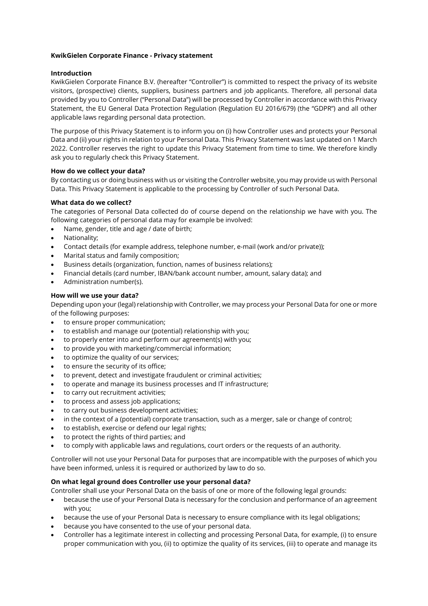# KwikGielen Corporate Finance - Privacy statement

# Introduction

KwikGielen Corporate Finance B.V. (hereafter "Controller") is committed to respect the privacy of its website visitors, (prospective) clients, suppliers, business partners and job applicants. Therefore, all personal data provided by you to Controller ("Personal Data") will be processed by Controller in accordance with this Privacy Statement, the EU General Data Protection Regulation (Regulation EU 2016/679) (the "GDPR") and all other applicable laws regarding personal data protection.

The purpose of this Privacy Statement is to inform you on (i) how Controller uses and protects your Personal Data and (ii) your rights in relation to your Personal Data. This Privacy Statement was last updated on 1 March 2022. Controller reserves the right to update this Privacy Statement from time to time. We therefore kindly ask you to regularly check this Privacy Statement.

#### How do we collect your data?

By contacting us or doing business with us or visiting the Controller website, you may provide us with Personal Data. This Privacy Statement is applicable to the processing by Controller of such Personal Data.

# What data do we collect?

The categories of Personal Data collected do of course depend on the relationship we have with you. The following categories of personal data may for example be involved:

- Name, gender, title and age / date of birth;
- Nationality;
- Contact details (for example address, telephone number, e-mail (work and/or private));
- Marital status and family composition;
- Business details (organization, function, names of business relations);
- Financial details (card number, IBAN/bank account number, amount, salary data); and
- Administration number(s).

# How will we use your data?

Depending upon your (legal) relationship with Controller, we may process your Personal Data for one or more of the following purposes:

- to ensure proper communication;
- to establish and manage our (potential) relationship with you;
- to properly enter into and perform our agreement(s) with you;
- to provide you with marketing/commercial information;
- to optimize the quality of our services;
- to ensure the security of its office;
- to prevent, detect and investigate fraudulent or criminal activities;
- to operate and manage its business processes and IT infrastructure;
- to carry out recruitment activities;
- to process and assess job applications;
- to carry out business development activities;
- in the context of a (potential) corporate transaction, such as a merger, sale or change of control;
- to establish, exercise or defend our legal rights;
- to protect the rights of third parties; and
- to comply with applicable laws and regulations, court orders or the requests of an authority.

Controller will not use your Personal Data for purposes that are incompatible with the purposes of which you have been informed, unless it is required or authorized by law to do so.

#### On what legal ground does Controller use your personal data?

Controller shall use your Personal Data on the basis of one or more of the following legal grounds:

- because the use of your Personal Data is necessary for the conclusion and performance of an agreement with you;
- because the use of your Personal Data is necessary to ensure compliance with its legal obligations;
- because you have consented to the use of your personal data.
- Controller has a legitimate interest in collecting and processing Personal Data, for example, (i) to ensure proper communication with you, (ii) to optimize the quality of its services, (iii) to operate and manage its